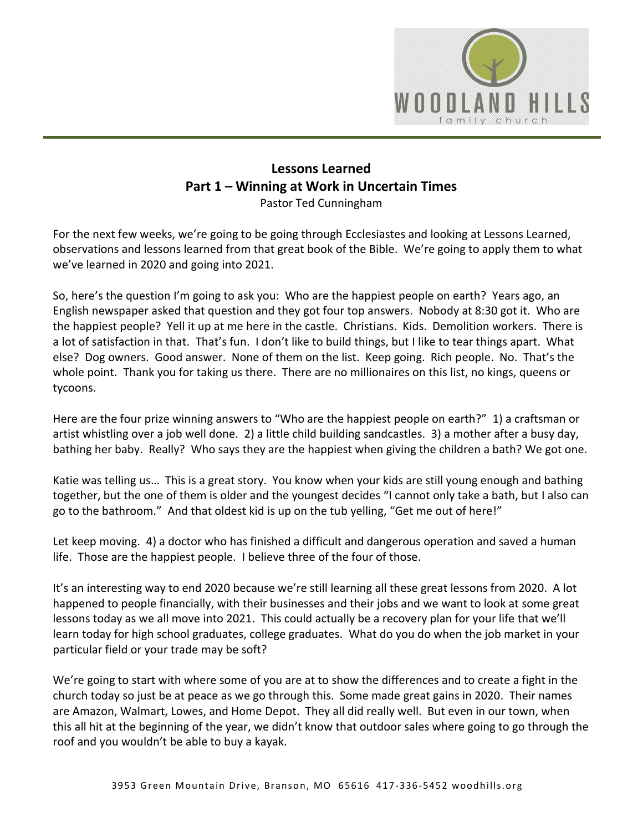

## **Lessons Learned Part 1 – Winning at Work in Uncertain Times** Pastor Ted Cunningham

For the next few weeks, we're going to be going through Ecclesiastes and looking at Lessons Learned, observations and lessons learned from that great book of the Bible. We're going to apply them to what we've learned in 2020 and going into 2021.

So, here's the question I'm going to ask you: Who are the happiest people on earth? Years ago, an English newspaper asked that question and they got four top answers. Nobody at 8:30 got it. Who are the happiest people? Yell it up at me here in the castle. Christians. Kids. Demolition workers. There is a lot of satisfaction in that. That's fun. I don't like to build things, but I like to tear things apart. What else? Dog owners. Good answer. None of them on the list. Keep going. Rich people. No. That's the whole point. Thank you for taking us there. There are no millionaires on this list, no kings, queens or tycoons.

Here are the four prize winning answers to "Who are the happiest people on earth?" 1) a craftsman or artist whistling over a job well done. 2) a little child building sandcastles. 3) a mother after a busy day, bathing her baby. Really? Who says they are the happiest when giving the children a bath? We got one.

Katie was telling us… This is a great story. You know when your kids are still young enough and bathing together, but the one of them is older and the youngest decides "I cannot only take a bath, but I also can go to the bathroom." And that oldest kid is up on the tub yelling, "Get me out of here!"

Let keep moving. 4) a doctor who has finished a difficult and dangerous operation and saved a human life. Those are the happiest people. I believe three of the four of those.

It's an interesting way to end 2020 because we're still learning all these great lessons from 2020. A lot happened to people financially, with their businesses and their jobs and we want to look at some great lessons today as we all move into 2021. This could actually be a recovery plan for your life that we'll learn today for high school graduates, college graduates. What do you do when the job market in your particular field or your trade may be soft?

We're going to start with where some of you are at to show the differences and to create a fight in the church today so just be at peace as we go through this. Some made great gains in 2020. Their names are Amazon, Walmart, Lowes, and Home Depot. They all did really well. But even in our town, when this all hit at the beginning of the year, we didn't know that outdoor sales where going to go through the roof and you wouldn't be able to buy a kayak.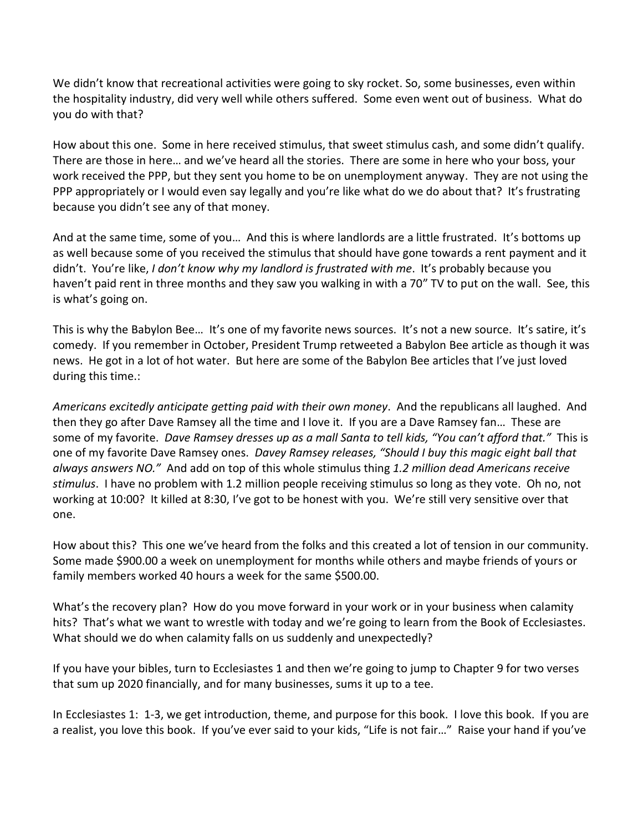We didn't know that recreational activities were going to sky rocket. So, some businesses, even within the hospitality industry, did very well while others suffered. Some even went out of business. What do you do with that?

How about this one. Some in here received stimulus, that sweet stimulus cash, and some didn't qualify. There are those in here… and we've heard all the stories. There are some in here who your boss, your work received the PPP, but they sent you home to be on unemployment anyway. They are not using the PPP appropriately or I would even say legally and you're like what do we do about that? It's frustrating because you didn't see any of that money.

And at the same time, some of you… And this is where landlords are a little frustrated. It's bottoms up as well because some of you received the stimulus that should have gone towards a rent payment and it didn't. You're like, *I don't know why my landlord is frustrated with me*. It's probably because you haven't paid rent in three months and they saw you walking in with a 70" TV to put on the wall. See, this is what's going on.

This is why the Babylon Bee… It's one of my favorite news sources. It's not a new source. It's satire, it's comedy. If you remember in October, President Trump retweeted a Babylon Bee article as though it was news. He got in a lot of hot water. But here are some of the Babylon Bee articles that I've just loved during this time.:

*Americans excitedly anticipate getting paid with their own money*. And the republicans all laughed. And then they go after Dave Ramsey all the time and I love it. If you are a Dave Ramsey fan… These are some of my favorite. *Dave Ramsey dresses up as a mall Santa to tell kids, "You can't afford that."* This is one of my favorite Dave Ramsey ones. *Davey Ramsey releases, "Should I buy this magic eight ball that always answers NO."* And add on top of this whole stimulus thing *1.2 million dead Americans receive stimulus*. I have no problem with 1.2 million people receiving stimulus so long as they vote. Oh no, not working at 10:00? It killed at 8:30, I've got to be honest with you. We're still very sensitive over that one.

How about this? This one we've heard from the folks and this created a lot of tension in our community. Some made \$900.00 a week on unemployment for months while others and maybe friends of yours or family members worked 40 hours a week for the same \$500.00.

What's the recovery plan? How do you move forward in your work or in your business when calamity hits? That's what we want to wrestle with today and we're going to learn from the Book of Ecclesiastes. What should we do when calamity falls on us suddenly and unexpectedly?

If you have your bibles, turn to Ecclesiastes 1 and then we're going to jump to Chapter 9 for two verses that sum up 2020 financially, and for many businesses, sums it up to a tee.

In Ecclesiastes 1: 1-3, we get introduction, theme, and purpose for this book. I love this book. If you are a realist, you love this book. If you've ever said to your kids, "Life is not fair…" Raise your hand if you've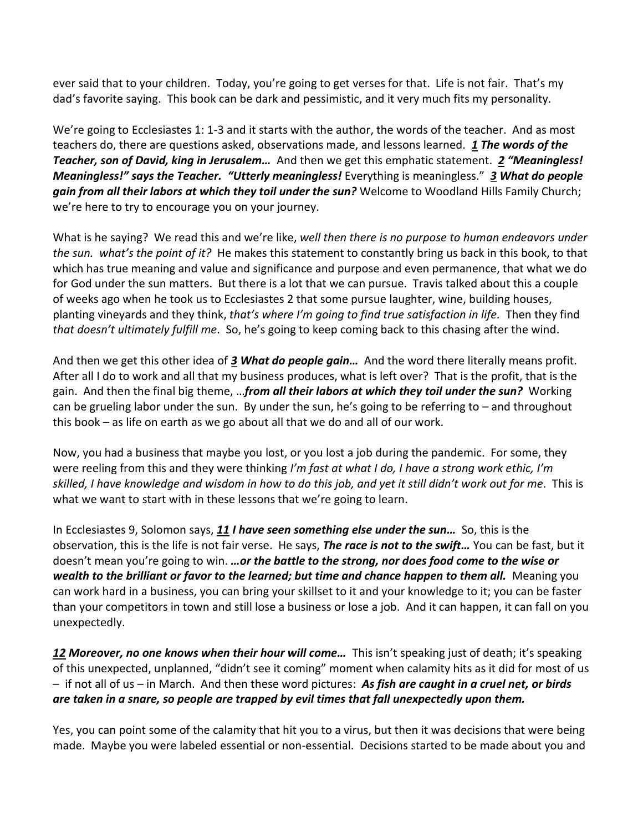ever said that to your children. Today, you're going to get verses for that. Life is not fair. That's my dad's favorite saying. This book can be dark and pessimistic, and it very much fits my personality.

We're going to Ecclesiastes 1: 1-3 and it starts with the author, the words of the teacher. And as most teachers do, there are questions asked, observations made, and lessons learned. *[1](https://www.studylight.org/desk/?q=ec%201:1&t1=en_niv&sr=1) The words of the Teacher, son of David, king in Jerusalem…* And then we get this emphatic statement. *[2](https://www.studylight.org/desk/?q=ec%201:2&t1=en_niv&sr=1) "Meaningless! Meaningless!" says the Teacher. "Utterly meaningless!* Everything is meaningless." *[3](https://www.studylight.org/desk/?q=ec%201:3&t1=en_niv&sr=1) What do people gain from all their labors at which they toil under the sun?* Welcome to Woodland Hills Family Church; we're here to try to encourage you on your journey.

What is he saying? We read this and we're like, *well then there is no purpose to human endeavors under the sun. what's the point of it?* He makes this statement to constantly bring us back in this book, to that which has true meaning and value and significance and purpose and even permanence, that what we do for God under the sun matters. But there is a lot that we can pursue. Travis talked about this a couple of weeks ago when he took us to Ecclesiastes 2 that some pursue laughter, wine, building houses, planting vineyards and they think, *that's where I'm going to find true satisfaction in life.* Then they find *that doesn't ultimately fulfill me*. So, he's going to keep coming back to this chasing after the wind.

And then we get this other idea of *[3](https://www.studylight.org/desk/?q=ec%201:3&t1=en_niv&sr=1) What do people gain…* And the word there literally means profit. After all I do to work and all that my business produces, what is left over? That is the profit, that is the gain. And then the final big theme, …*from all their labors at which they toil under the sun?* Working can be grueling labor under the sun. By under the sun, he's going to be referring to – and throughout this book – as life on earth as we go about all that we do and all of our work.

Now, you had a business that maybe you lost, or you lost a job during the pandemic. For some, they were reeling from this and they were thinking *I'm fast at what I do, I have a strong work ethic, I'm skilled, I have knowledge and wisdom in how to do this job, and yet it still didn't work out for me*. This is what we want to start with in these lessons that we're going to learn.

In Ecclesiastes 9, Solomon says, *[11](https://www.studylight.org/desk/?q=ec%209:11&t1=en_niv&sr=1) I have seen something else under the sun…* So, this is the observation, this is the life is not fair verse. He says, *The race is not to the swift…* You can be fast, but it doesn't mean you're going to win. *…or the battle to the strong, nor does food come to the wise or wealth to the brilliant or favor to the learned; but time and chance happen to them all.* Meaning you can work hard in a business, you can bring your skillset to it and your knowledge to it; you can be faster than your competitors in town and still lose a business or lose a job. And it can happen, it can fall on you unexpectedly.

*[12](https://www.studylight.org/desk/?q=ec%209:12&t1=en_niv&sr=1) Moreover, no one knows when their hour will come…* This isn't speaking just of death; it's speaking of this unexpected, unplanned, "didn't see it coming" moment when calamity hits as it did for most of us – if not all of us – in March. And then these word pictures: *As fish are caught in a cruel net, or birds are taken in a snare, so people are trapped by evil times that fall unexpectedly upon them.*

Yes, you can point some of the calamity that hit you to a virus, but then it was decisions that were being made. Maybe you were labeled essential or non-essential. Decisions started to be made about you and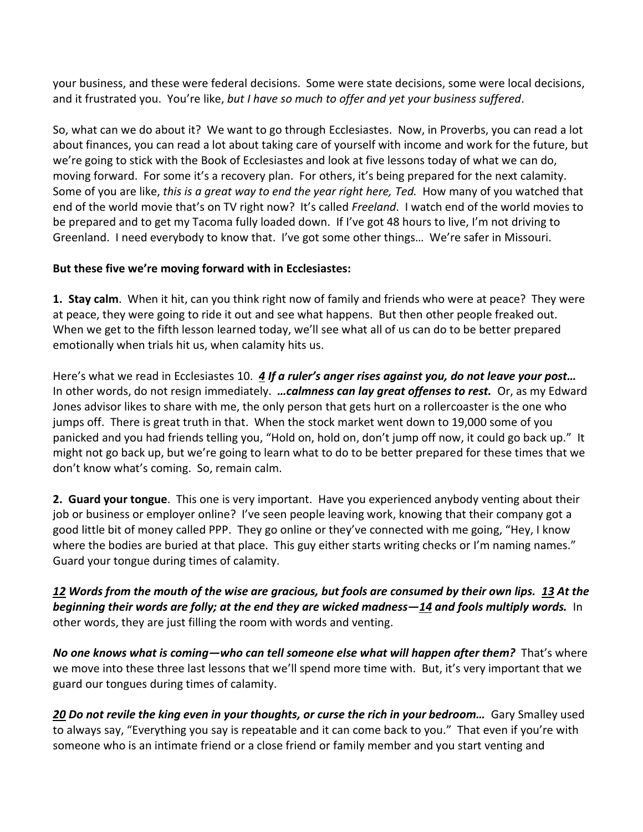your business, and these were federal decisions. Some were state decisions, some were local decisions, and it frustrated you. You're like, *but I have so much to offer and yet your business suffered*.

So, what can we do about it? We want to go through Ecclesiastes. Now, in Proverbs, you can read a lot about finances, you can read a lot about taking care of yourself with income and work for the future, but we're going to stick with the Book of Ecclesiastes and look at five lessons today of what we can do, moving forward. For some it's a recovery plan. For others, it's being prepared for the next calamity. Some of you are like, *this is a great way to end the year right here, Ted.* How many of you watched that end of the world movie that's on TV right now? It's called *Freeland*. I watch end of the world movies to be prepared and to get my Tacoma fully loaded down. If I've got 48 hours to live, I'm not driving to Greenland. I need everybody to know that. I've got some other things… We're safer in Missouri.

## **But these five we're moving forward with in Ecclesiastes:**

**1. Stay calm**. When it hit, can you think right now of family and friends who were at peace? They were at peace, they were going to ride it out and see what happens. But then other people freaked out. When we get to the fifth lesson learned today, we'll see what all of us can do to be better prepared emotionally when trials hit us, when calamity hits us.

Here's what we read in Ecclesiastes 10. *[4](https://www.studylight.org/desk/?q=ec%2010:4&t1=en_niv&sr=1) If a ruler's anger rises against you, do not leave your post…* In other words, do not resign immediately. *…calmness can lay great offenses to rest.* Or, as my Edward Jones advisor likes to share with me, the only person that gets hurt on a rollercoaster is the one who jumps off. There is great truth in that. When the stock market went down to 19,000 some of you panicked and you had friends telling you, "Hold on, hold on, don't jump off now, it could go back up." It might not go back up, but we're going to learn what to do to be better prepared for these times that we don't know what's coming. So, remain calm.

**2. Guard your tongue**. This one is very important. Have you experienced anybody venting about their job or business or employer online? I've seen people leaving work, knowing that their company got a good little bit of money called PPP. They go online or they've connected with me going, "Hey, I know where the bodies are buried at that place. This guy either starts writing checks or I'm naming names." Guard your tongue during times of calamity.

## *[12](https://www.studylight.org/desk/?q=ec%2010:12&t1=en_niv&sr=1) Words from the mouth of the wise are gracious, but fools are consumed by their own lips. [13](https://www.studylight.org/desk/?q=ec%2010:13&t1=en_niv&sr=1) At the beginning their words are folly; at the end they are wicked madness—[14](https://www.studylight.org/desk/?q=ec%2010:14&t1=en_niv&sr=1) and fools multiply words.* In other words, they are just filling the room with words and venting.

*No one knows what is coming—who can tell someone else what will happen after them?* That's where we move into these three last lessons that we'll spend more time with. But, it's very important that we guard our tongues during times of calamity.

*[20](https://www.studylight.org/desk/?q=ec%2010:20&t1=en_niv&sr=1) Do not revile the king even in your thoughts, or curse the rich in your bedroom…* Gary Smalley used to always say, "Everything you say is repeatable and it can come back to you." That even if you're with someone who is an intimate friend or a close friend or family member and you start venting and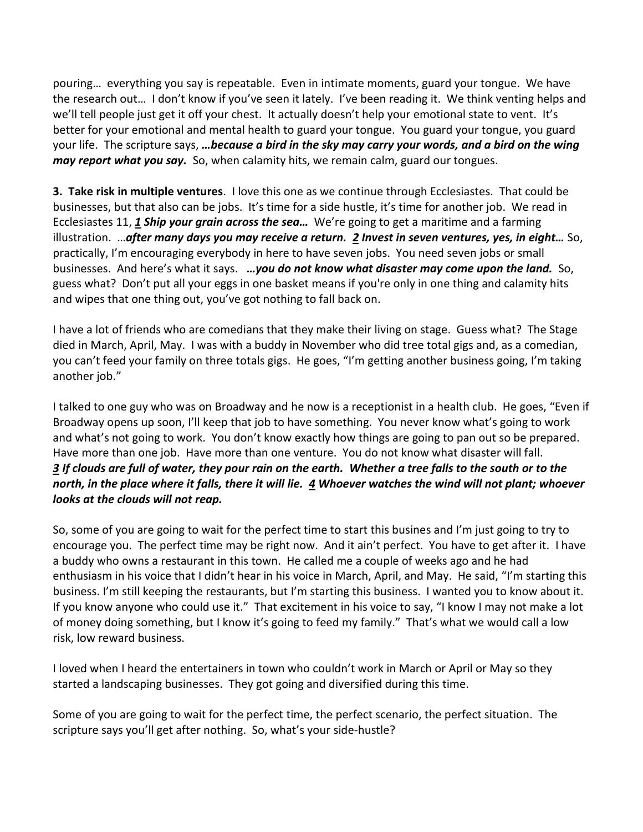pouring… everything you say is repeatable. Even in intimate moments, guard your tongue. We have the research out… I don't know if you've seen it lately. I've been reading it. We think venting helps and we'll tell people just get it off your chest. It actually doesn't help your emotional state to vent. It's better for your emotional and mental health to guard your tongue. You guard your tongue, you guard your life. The scripture says, *…because a bird in the sky may carry your words, and a bird on the wing may report what you say.* So, when calamity hits, we remain calm, guard our tongues.

**3. Take risk in multiple ventures**. I love this one as we continue through Ecclesiastes. That could be businesses, but that also can be jobs. It's time for a side hustle, it's time for another job. We read in Ecclesiastes 11, *[1](https://www.studylight.org/desk/?q=ec%2011:1&t1=en_niv&sr=1) Ship your grain across the sea…* We're going to get a maritime and a farming illustration. …*after many days you may receive a return. [2](https://www.studylight.org/desk/?q=ec%2011:2&t1=en_niv&sr=1) Invest in seven ventures, yes, in eight…* So, practically, I'm encouraging everybody in here to have seven jobs. You need seven jobs or small businesses. And here's what it says. *…you do not know what disaster may come upon the land.* So, guess what? Don't put all your eggs in one basket means if you're only in one thing and calamity hits and wipes that one thing out, you've got nothing to fall back on.

I have a lot of friends who are comedians that they make their living on stage. Guess what? The Stage died in March, April, May. I was with a buddy in November who did tree total gigs and, as a comedian, you can't feed your family on three totals gigs. He goes, "I'm getting another business going, I'm taking another job."

I talked to one guy who was on Broadway and he now is a receptionist in a health club. He goes, "Even if Broadway opens up soon, I'll keep that job to have something. You never know what's going to work and what's not going to work. You don't know exactly how things are going to pan out so be prepared. Have more than one job. Have more than one venture. You do not know what disaster will fall. *[3](https://www.studylight.org/desk/?q=ec%2011:3&t1=en_niv&sr=1) If clouds are full of water, they pour rain on the earth. Whether a tree falls to the south or to the north, in the place where it falls, there it will lie. [4](https://www.studylight.org/desk/?q=ec%2011:4&t1=en_niv&sr=1) Whoever watches the wind will not plant; whoever looks at the clouds will not reap.*

So, some of you are going to wait for the perfect time to start this busines and I'm just going to try to encourage you. The perfect time may be right now. And it ain't perfect. You have to get after it. I have a buddy who owns a restaurant in this town. He called me a couple of weeks ago and he had enthusiasm in his voice that I didn't hear in his voice in March, April, and May. He said, "I'm starting this business. I'm still keeping the restaurants, but I'm starting this business. I wanted you to know about it. If you know anyone who could use it." That excitement in his voice to say, "I know I may not make a lot of money doing something, but I know it's going to feed my family." That's what we would call a low risk, low reward business.

I loved when I heard the entertainers in town who couldn't work in March or April or May so they started a landscaping businesses. They got going and diversified during this time.

Some of you are going to wait for the perfect time, the perfect scenario, the perfect situation. The scripture says you'll get after nothing. So, what's your side-hustle?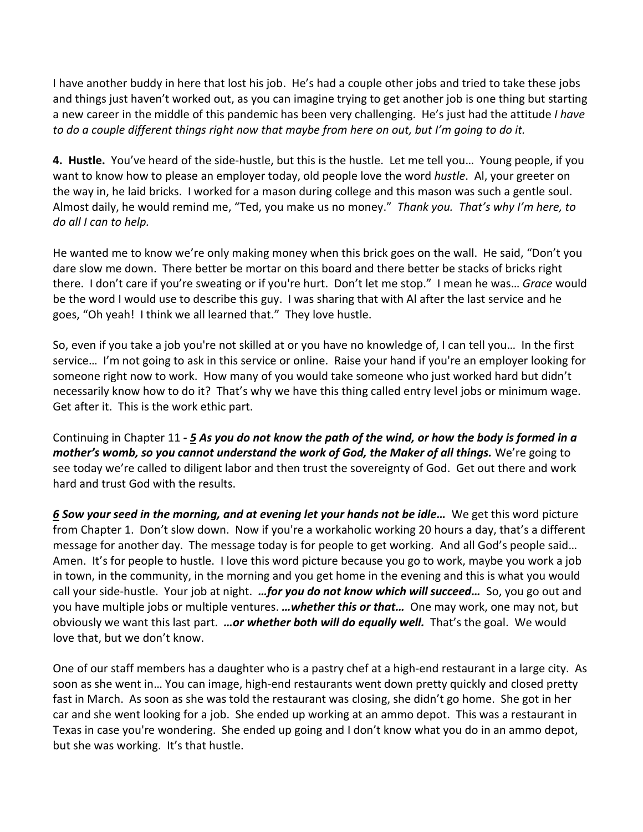I have another buddy in here that lost his job. He's had a couple other jobs and tried to take these jobs and things just haven't worked out, as you can imagine trying to get another job is one thing but starting a new career in the middle of this pandemic has been very challenging. He's just had the attitude *I have to do a couple different things right now that maybe from here on out, but I'm going to do it.*

**4. Hustle.** You've heard of the side-hustle, but this is the hustle. Let me tell you… Young people, if you want to know how to please an employer today, old people love the word *hustle*. Al, your greeter on the way in, he laid bricks. I worked for a mason during college and this mason was such a gentle soul. Almost daily, he would remind me, "Ted, you make us no money." *Thank you. That's why I'm here, to do all I can to help.*

He wanted me to know we're only making money when this brick goes on the wall. He said, "Don't you dare slow me down. There better be mortar on this board and there better be stacks of bricks right there. I don't care if you're sweating or if you're hurt. Don't let me stop." I mean he was… *Grace* would be the word I would use to describe this guy. I was sharing that with Al after the last service and he goes, "Oh yeah! I think we all learned that." They love hustle.

So, even if you take a job you're not skilled at or you have no knowledge of, I can tell you… In the first service… I'm not going to ask in this service or online. Raise your hand if you're an employer looking for someone right now to work. How many of you would take someone who just worked hard but didn't necessarily know how to do it? That's why we have this thing called entry level jobs or minimum wage. Get after it. This is the work ethic part.

Continuing in Chapter 11 *- [5](https://www.studylight.org/desk/?q=ec%2011:5&t1=en_niv&sr=1) As you do not know the path of the wind, or how the body is formed in a mother's womb, so you cannot understand the work of God, the Maker of all things.* We're going to see today we're called to diligent labor and then trust the sovereignty of God. Get out there and work hard and trust God with the results.

*[6](https://www.studylight.org/desk/?q=ec%2011:6&t1=en_niv&sr=1) Sow your seed in the morning, and at evening let your hands not be idle…* We get this word picture from Chapter 1. Don't slow down. Now if you're a workaholic working 20 hours a day, that's a different message for another day. The message today is for people to get working. And all God's people said… Amen. It's for people to hustle. I love this word picture because you go to work, maybe you work a job in town, in the community, in the morning and you get home in the evening and this is what you would call your side-hustle. Your job at night. *…for you do not know which will succeed…* So, you go out and you have multiple jobs or multiple ventures. *…whether this or that…* One may work, one may not, but obviously we want this last part. *…or whether both will do equally well.* That's the goal. We would love that, but we don't know.

One of our staff members has a daughter who is a pastry chef at a high-end restaurant in a large city. As soon as she went in… You can image, high-end restaurants went down pretty quickly and closed pretty fast in March. As soon as she was told the restaurant was closing, she didn't go home. She got in her car and she went looking for a job. She ended up working at an ammo depot. This was a restaurant in Texas in case you're wondering. She ended up going and I don't know what you do in an ammo depot, but she was working. It's that hustle.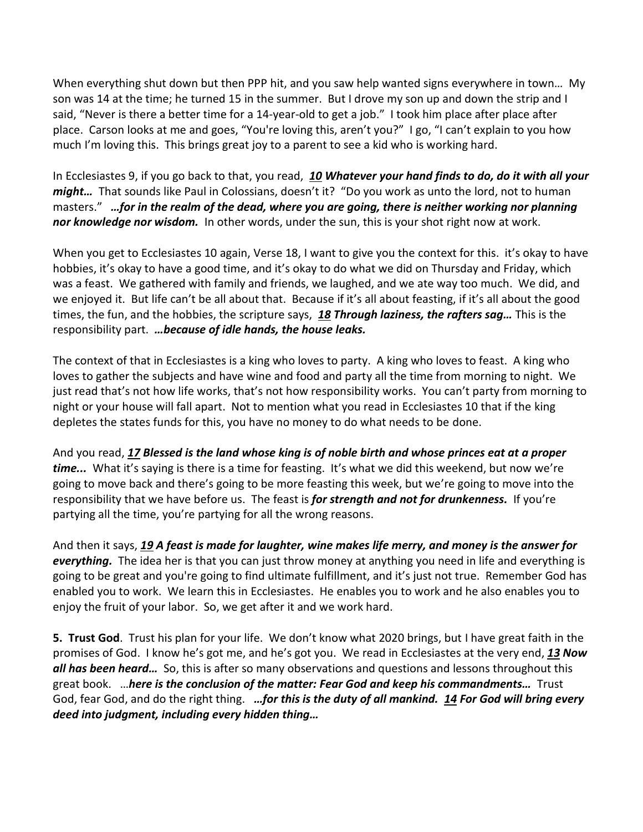When everything shut down but then PPP hit, and you saw help wanted signs everywhere in town… My son was 14 at the time; he turned 15 in the summer. But I drove my son up and down the strip and I said, "Never is there a better time for a 14-year-old to get a job." I took him place after place after place. Carson looks at me and goes, "You're loving this, aren't you?" I go, "I can't explain to you how much I'm loving this. This brings great joy to a parent to see a kid who is working hard.

In Ecclesiastes 9, if you go back to that, you read, *[10](https://www.studylight.org/desk/?q=ec%209:10&t1=en_niv&sr=1) Whatever your hand finds to do, do it with all your might...* That sounds like Paul in Colossians, doesn't it? "Do you work as unto the lord, not to human masters." *…for in the realm of the dead, where you are going, there is neither working nor planning nor knowledge nor wisdom.* In other words, under the sun, this is your shot right now at work.

When you get to Ecclesiastes 10 again, Verse 18, I want to give you the context for this. it's okay to have hobbies, it's okay to have a good time, and it's okay to do what we did on Thursday and Friday, which was a feast. We gathered with family and friends, we laughed, and we ate way too much. We did, and we enjoyed it. But life can't be all about that. Because if it's all about feasting, if it's all about the good times, the fun, and the hobbies, the scripture says, *[18](https://www.studylight.org/desk/?q=ec%2010:18&t1=en_niv&sr=1) Through laziness, the rafters sag…* This is the responsibility part. *…because of idle hands, the house leaks.*

The context of that in Ecclesiastes is a king who loves to party. A king who loves to feast. A king who loves to gather the subjects and have wine and food and party all the time from morning to night. We just read that's not how life works, that's not how responsibility works. You can't party from morning to night or your house will fall apart. Not to mention what you read in Ecclesiastes 10 that if the king depletes the states funds for this, you have no money to do what needs to be done.

And you read, *[17](https://www.studylight.org/desk/?q=ec%2010:17&t1=en_niv&sr=1) Blessed is the land whose king is of noble birth and whose princes eat at a proper time...* What it's saying is there is a time for feasting. It's what we did this weekend, but now we're going to move back and there's going to be more feasting this week, but we're going to move into the responsibility that we have before us. The feast is *for strength and not for drunkenness.* If you're partying all the time, you're partying for all the wrong reasons.

And then it says, *[19](https://www.studylight.org/desk/?q=ec%2010:19&t1=en_niv&sr=1) A feast is made for laughter, wine makes life merry, and money is the answer for everything.* The idea her is that you can just throw money at anything you need in life and everything is going to be great and you're going to find ultimate fulfillment, and it's just not true. Remember God has enabled you to work. We learn this in Ecclesiastes. He enables you to work and he also enables you to enjoy the fruit of your labor. So, we get after it and we work hard.

**5. Trust God**. Trust his plan for your life. We don't know what 2020 brings, but I have great faith in the promises of God. I know he's got me, and he's got you. We read in Ecclesiastes at the very end, *[13](https://www.studylight.org/desk/?q=ec%2012:13&t1=en_niv&sr=1) Now all has been heard…* So, this is after so many observations and questions and lessons throughout this great book. …*here is the conclusion of the matter: Fear God and keep his commandments…* Trust God, fear God, and do the right thing. *…for this is the duty of all mankind. [14](https://www.studylight.org/desk/?q=ec%2012:14&t1=en_niv&sr=1) For God will bring every deed into judgment, including every hidden thing…*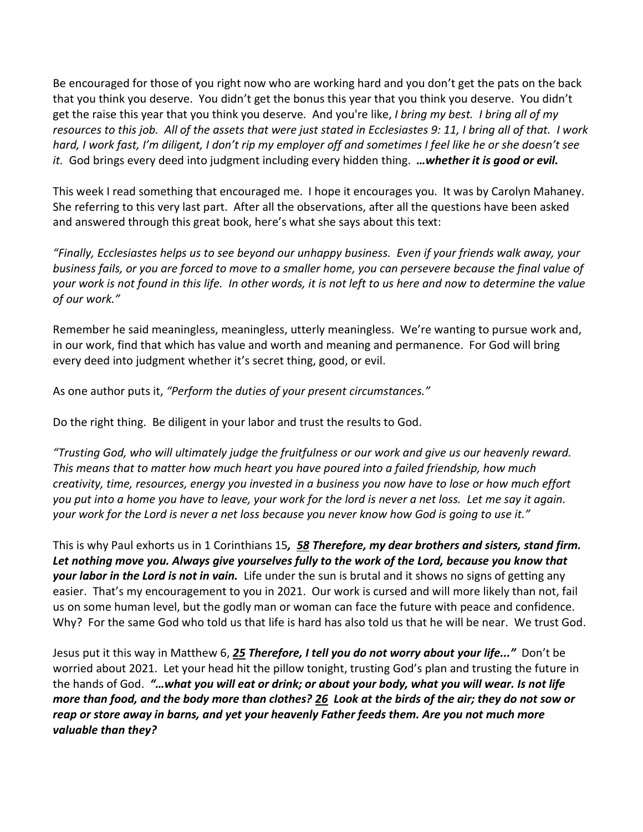Be encouraged for those of you right now who are working hard and you don't get the pats on the back that you think you deserve. You didn't get the bonus this year that you think you deserve. You didn't get the raise this year that you think you deserve. And you're like, *I bring my best. I bring all of my resources to this job. All of the assets that were just stated in Ecclesiastes 9: 11, I bring all of that. I work hard, I work fast, I'm diligent, I don't rip my employer off and sometimes I feel like he or she doesn't see it.* God brings every deed into judgment including every hidden thing. *…whether it is good or evil.*

This week I read something that encouraged me. I hope it encourages you. It was by Carolyn Mahaney. She referring to this very last part. After all the observations, after all the questions have been asked and answered through this great book, here's what she says about this text:

*"Finally, Ecclesiastes helps us to see beyond our unhappy business. Even if your friends walk away, your business fails, or you are forced to move to a smaller home, you can persevere because the final value of your work is not found in this life. In other words, it is not left to us here and now to determine the value of our work."* 

Remember he said meaningless, meaningless, utterly meaningless. We're wanting to pursue work and, in our work, find that which has value and worth and meaning and permanence. For God will bring every deed into judgment whether it's secret thing, good, or evil.

As one author puts it, *"Perform the duties of your present circumstances."*

Do the right thing. Be diligent in your labor and trust the results to God.

*"Trusting God, who will ultimately judge the fruitfulness or our work and give us our heavenly reward. This means that to matter how much heart you have poured into a failed friendship, how much creativity, time, resources, energy you invested in a business you now have to lose or how much effort you put into a home you have to leave, your work for the lord is never a net loss. Let me say it again. your work for the Lord is never a net loss because you never know how God is going to use it."*

This is why Paul exhorts us in 1 Corinthians 15*, [58](https://www.studylight.org/desk/?q=1co%2015:58&t1=en_niv&sr=1) Therefore, my dear brothers and sisters, stand firm. Let nothing move you. Always give yourselves fully to the work of the Lord, because you know that your labor in the Lord is not in vain.* Life under the sun is brutal and it shows no signs of getting any easier. That's my encouragement to you in 2021. Our work is cursed and will more likely than not, fail us on some human level, but the godly man or woman can face the future with peace and confidence. Why? For the same God who told us that life is hard has also told us that he will be near. We trust God.

Jesus put it this way in Matthew 6, *[25](https://www.studylight.org/desk/?q=mt%206:25&t1=en_niv&sr=1) Therefore, I tell you do not worry about your life..."* Don't be worried about 2021. Let your head hit the pillow tonight, trusting God's plan and trusting the future in the hands of God. *"…what you will eat or drink; or about your body, what you will wear. Is not life more than food, and the body more than clothes? [26](https://www.studylight.org/desk/?q=mt%206:26&t1=en_niv&sr=1) Look at the birds of the air; they do not sow or reap or store away in barns, and yet your heavenly Father feeds them. Are you not much more valuable than they?*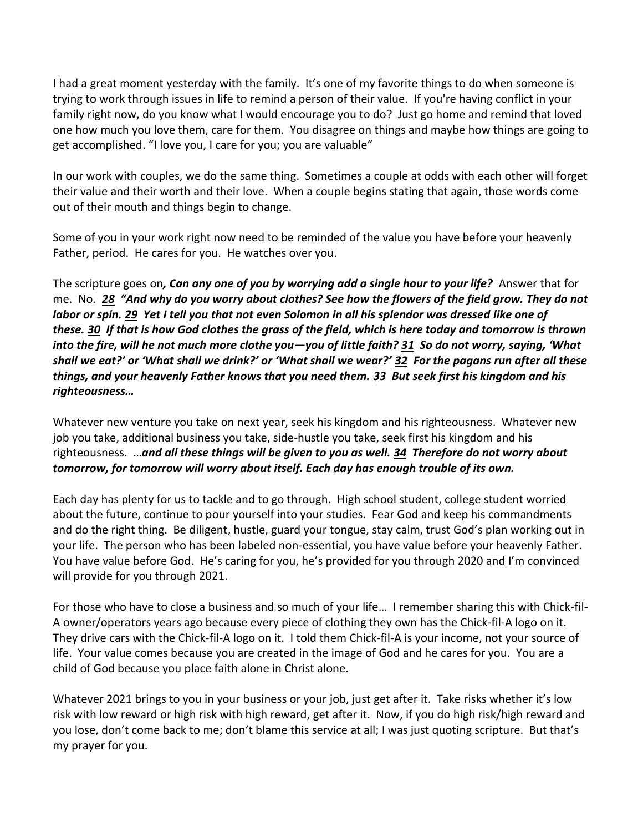I had a great moment yesterday with the family. It's one of my favorite things to do when someone is trying to work through issues in life to remind a person of their value. If you're having conflict in your family right now, do you know what I would encourage you to do? Just go home and remind that loved one how much you love them, care for them. You disagree on things and maybe how things are going to get accomplished. "I love you, I care for you; you are valuable"

In our work with couples, we do the same thing. Sometimes a couple at odds with each other will forget their value and their worth and their love. When a couple begins stating that again, those words come out of their mouth and things begin to change.

Some of you in your work right now need to be reminded of the value you have before your heavenly Father, period. He cares for you. He watches over you.

The scripture goes on*, Can any one of you by worrying add a single hour to your life?* Answer that for me. No. *[28](https://www.studylight.org/desk/?q=mt%206:28&t1=en_niv&sr=1) "And why do you worry about clothes? See how the flowers of the field grow. They do not labor or spin. [29](https://www.studylight.org/desk/?q=mt%206:29&t1=en_niv&sr=1) Yet I tell you that not even Solomon in all his splendor was dressed like one of these. [30](https://www.studylight.org/desk/?q=mt%206:30&t1=en_niv&sr=1) If that is how God clothes the grass of the field, which is here today and tomorrow is thrown into the fire, will he not much more clothe you—you of little faith? [31](https://www.studylight.org/desk/?q=mt%206:31&t1=en_niv&sr=1) So do not worry, saying, 'What shall we eat?' or 'What shall we drink?' or 'What shall we wear?' [32](https://www.studylight.org/desk/?q=mt%206:32&t1=en_niv&sr=1) For the pagans run after all these things, and your heavenly Father knows that you need them. [33](https://www.studylight.org/desk/?q=mt%206:33&t1=en_niv&sr=1) But seek first his kingdom and his righteousness…*

Whatever new venture you take on next year, seek his kingdom and his righteousness. Whatever new job you take, additional business you take, side-hustle you take, seek first his kingdom and his righteousness. …*and all these things will be given to you as well. [34](https://www.studylight.org/desk/?q=mt%206:34&t1=en_niv&sr=1) Therefore do not worry about tomorrow, for tomorrow will worry about itself. Each day has enough trouble of its own.*

Each day has plenty for us to tackle and to go through. High school student, college student worried about the future, continue to pour yourself into your studies. Fear God and keep his commandments and do the right thing. Be diligent, hustle, guard your tongue, stay calm, trust God's plan working out in your life. The person who has been labeled non-essential, you have value before your heavenly Father. You have value before God. He's caring for you, he's provided for you through 2020 and I'm convinced will provide for you through 2021.

For those who have to close a business and so much of your life… I remember sharing this with Chick-fil-A owner/operators years ago because every piece of clothing they own has the Chick-fil-A logo on it. They drive cars with the Chick-fil-A logo on it. I told them Chick-fil-A is your income, not your source of life. Your value comes because you are created in the image of God and he cares for you. You are a child of God because you place faith alone in Christ alone.

Whatever 2021 brings to you in your business or your job, just get after it. Take risks whether it's low risk with low reward or high risk with high reward, get after it. Now, if you do high risk/high reward and you lose, don't come back to me; don't blame this service at all; I was just quoting scripture. But that's my prayer for you.